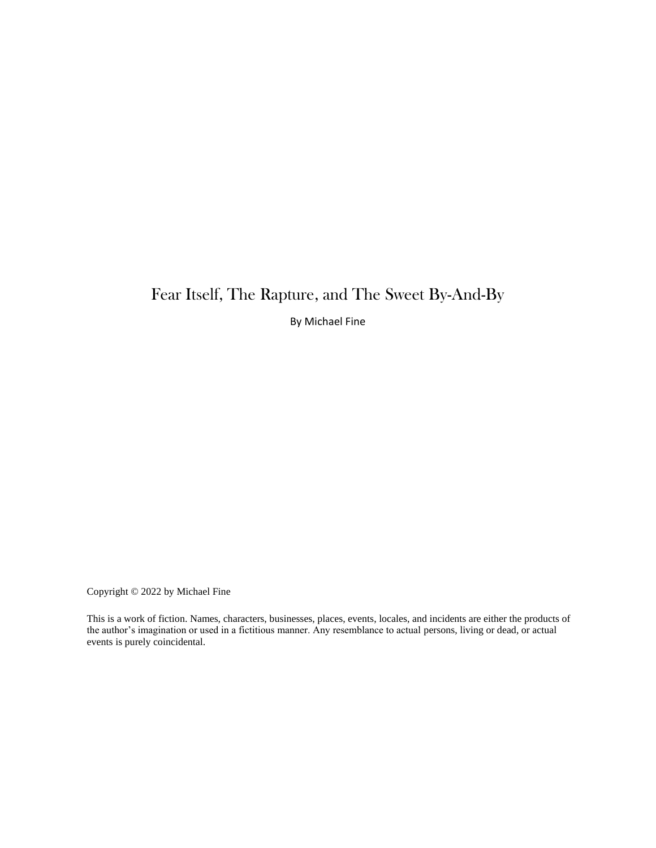## Fear Itself, The Rapture, and The Sweet By-And-By

By Michael Fine

Copyright © 2022 by Michael Fine

This is a work of fiction. Names, characters, businesses, places, events, locales, and incidents are either the products of the author's imagination or used in a fictitious manner. Any resemblance to actual persons, living or dead, or actual events is purely coincidental.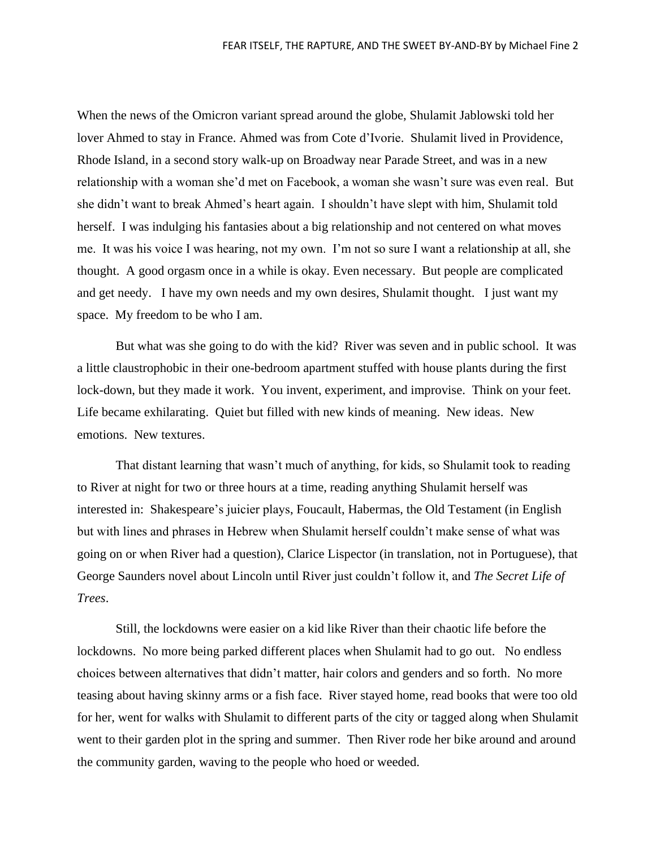When the news of the Omicron variant spread around the globe, Shulamit Jablowski told her lover Ahmed to stay in France. Ahmed was from Cote d'Ivorie. Shulamit lived in Providence, Rhode Island, in a second story walk-up on Broadway near Parade Street, and was in a new relationship with a woman she'd met on Facebook, a woman she wasn't sure was even real. But she didn't want to break Ahmed's heart again. I shouldn't have slept with him, Shulamit told herself. I was indulging his fantasies about a big relationship and not centered on what moves me. It was his voice I was hearing, not my own. I'm not so sure I want a relationship at all, she thought. A good orgasm once in a while is okay. Even necessary. But people are complicated and get needy. I have my own needs and my own desires, Shulamit thought. I just want my space. My freedom to be who I am.

But what was she going to do with the kid? River was seven and in public school. It was a little claustrophobic in their one-bedroom apartment stuffed with house plants during the first lock-down, but they made it work. You invent, experiment, and improvise. Think on your feet. Life became exhilarating. Quiet but filled with new kinds of meaning. New ideas. New emotions. New textures.

That distant learning that wasn't much of anything, for kids, so Shulamit took to reading to River at night for two or three hours at a time, reading anything Shulamit herself was interested in: Shakespeare's juicier plays, Foucault, Habermas, the Old Testament (in English but with lines and phrases in Hebrew when Shulamit herself couldn't make sense of what was going on or when River had a question), Clarice Lispector (in translation, not in Portuguese), that George Saunders novel about Lincoln until River just couldn't follow it, and *The Secret Life of Trees*.

Still, the lockdowns were easier on a kid like River than their chaotic life before the lockdowns. No more being parked different places when Shulamit had to go out. No endless choices between alternatives that didn't matter, hair colors and genders and so forth. No more teasing about having skinny arms or a fish face. River stayed home, read books that were too old for her, went for walks with Shulamit to different parts of the city or tagged along when Shulamit went to their garden plot in the spring and summer. Then River rode her bike around and around the community garden, waving to the people who hoed or weeded.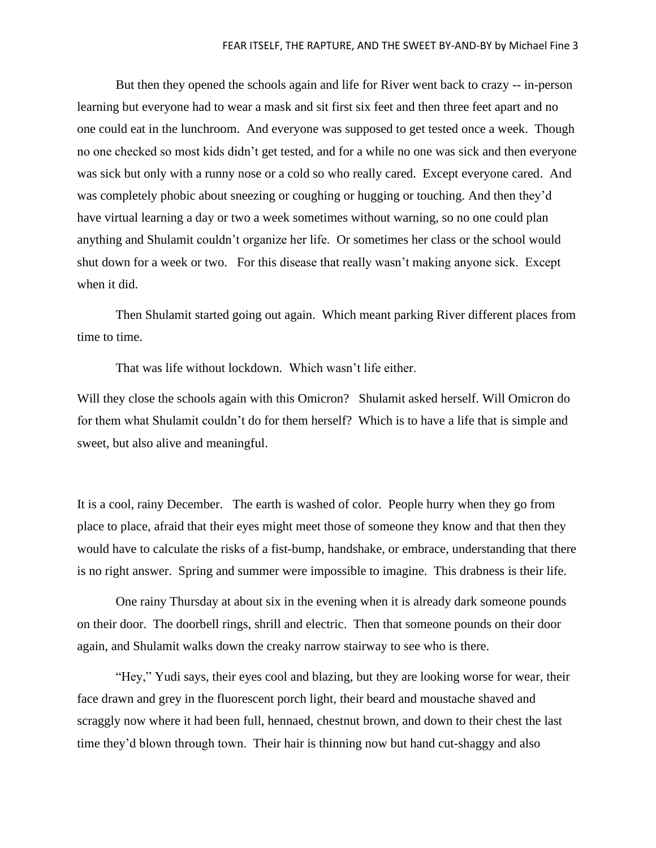But then they opened the schools again and life for River went back to crazy -- in-person learning but everyone had to wear a mask and sit first six feet and then three feet apart and no one could eat in the lunchroom. And everyone was supposed to get tested once a week. Though no one checked so most kids didn't get tested, and for a while no one was sick and then everyone was sick but only with a runny nose or a cold so who really cared. Except everyone cared. And was completely phobic about sneezing or coughing or hugging or touching. And then they'd have virtual learning a day or two a week sometimes without warning, so no one could plan anything and Shulamit couldn't organize her life. Or sometimes her class or the school would shut down for a week or two. For this disease that really wasn't making anyone sick. Except when it did.

Then Shulamit started going out again. Which meant parking River different places from time to time.

That was life without lockdown. Which wasn't life either.

Will they close the schools again with this Omicron? Shulamit asked herself. Will Omicron do for them what Shulamit couldn't do for them herself? Which is to have a life that is simple and sweet, but also alive and meaningful.

It is a cool, rainy December. The earth is washed of color. People hurry when they go from place to place, afraid that their eyes might meet those of someone they know and that then they would have to calculate the risks of a fist-bump, handshake, or embrace, understanding that there is no right answer. Spring and summer were impossible to imagine. This drabness is their life.

One rainy Thursday at about six in the evening when it is already dark someone pounds on their door. The doorbell rings, shrill and electric. Then that someone pounds on their door again, and Shulamit walks down the creaky narrow stairway to see who is there.

"Hey," Yudi says, their eyes cool and blazing, but they are looking worse for wear, their face drawn and grey in the fluorescent porch light, their beard and moustache shaved and scraggly now where it had been full, hennaed, chestnut brown, and down to their chest the last time they'd blown through town. Their hair is thinning now but hand cut-shaggy and also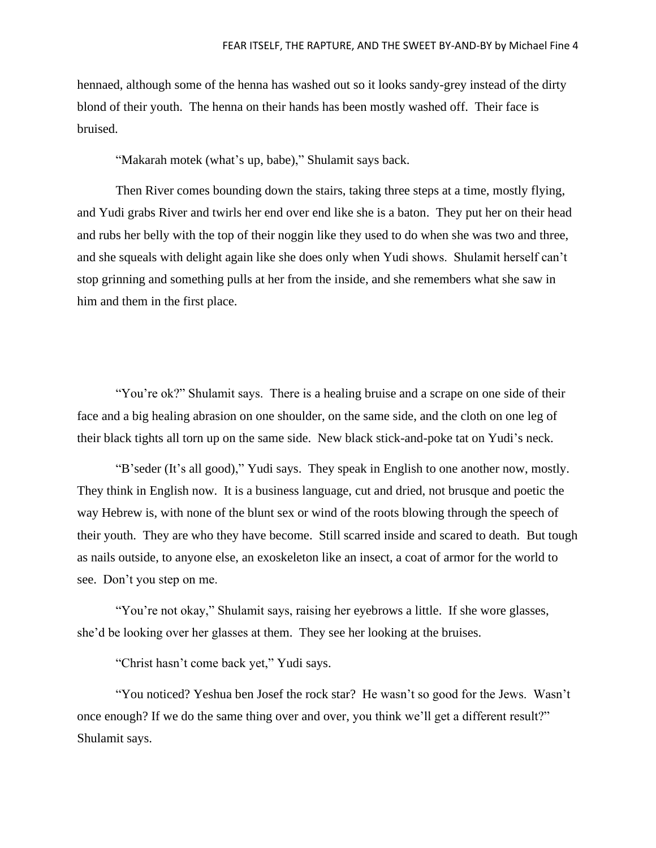hennaed, although some of the henna has washed out so it looks sandy-grey instead of the dirty blond of their youth. The henna on their hands has been mostly washed off. Their face is bruised.

"Makarah motek (what's up, babe)," Shulamit says back.

Then River comes bounding down the stairs, taking three steps at a time, mostly flying, and Yudi grabs River and twirls her end over end like she is a baton. They put her on their head and rubs her belly with the top of their noggin like they used to do when she was two and three, and she squeals with delight again like she does only when Yudi shows. Shulamit herself can't stop grinning and something pulls at her from the inside, and she remembers what she saw in him and them in the first place.

"You're ok?" Shulamit says. There is a healing bruise and a scrape on one side of their face and a big healing abrasion on one shoulder, on the same side, and the cloth on one leg of their black tights all torn up on the same side. New black stick-and-poke tat on Yudi's neck.

"B'seder (It's all good)," Yudi says. They speak in English to one another now, mostly. They think in English now. It is a business language, cut and dried, not brusque and poetic the way Hebrew is, with none of the blunt sex or wind of the roots blowing through the speech of their youth. They are who they have become. Still scarred inside and scared to death. But tough as nails outside, to anyone else, an exoskeleton like an insect, a coat of armor for the world to see. Don't you step on me.

"You're not okay," Shulamit says, raising her eyebrows a little. If she wore glasses, she'd be looking over her glasses at them. They see her looking at the bruises.

"Christ hasn't come back yet," Yudi says.

"You noticed? Yeshua ben Josef the rock star? He wasn't so good for the Jews. Wasn't once enough? If we do the same thing over and over, you think we'll get a different result?" Shulamit says.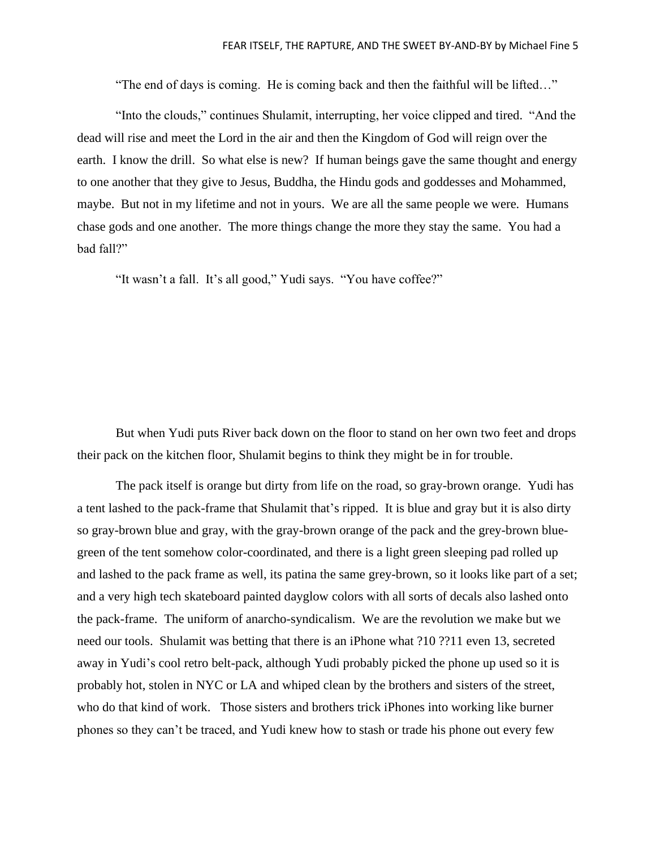"The end of days is coming. He is coming back and then the faithful will be lifted…"

"Into the clouds," continues Shulamit, interrupting, her voice clipped and tired. "And the dead will rise and meet the Lord in the air and then the Kingdom of God will reign over the earth. I know the drill. So what else is new? If human beings gave the same thought and energy to one another that they give to Jesus, Buddha, the Hindu gods and goddesses and Mohammed, maybe. But not in my lifetime and not in yours. We are all the same people we were. Humans chase gods and one another. The more things change the more they stay the same. You had a bad fall?"

"It wasn't a fall. It's all good," Yudi says. "You have coffee?"

But when Yudi puts River back down on the floor to stand on her own two feet and drops their pack on the kitchen floor, Shulamit begins to think they might be in for trouble.

The pack itself is orange but dirty from life on the road, so gray-brown orange. Yudi has a tent lashed to the pack-frame that Shulamit that's ripped. It is blue and gray but it is also dirty so gray-brown blue and gray, with the gray-brown orange of the pack and the grey-brown bluegreen of the tent somehow color-coordinated, and there is a light green sleeping pad rolled up and lashed to the pack frame as well, its patina the same grey-brown, so it looks like part of a set; and a very high tech skateboard painted dayglow colors with all sorts of decals also lashed onto the pack-frame. The uniform of anarcho-syndicalism. We are the revolution we make but we need our tools. Shulamit was betting that there is an iPhone what ?10 ??11 even 13, secreted away in Yudi's cool retro belt-pack, although Yudi probably picked the phone up used so it is probably hot, stolen in NYC or LA and whiped clean by the brothers and sisters of the street, who do that kind of work. Those sisters and brothers trick iPhones into working like burner phones so they can't be traced, and Yudi knew how to stash or trade his phone out every few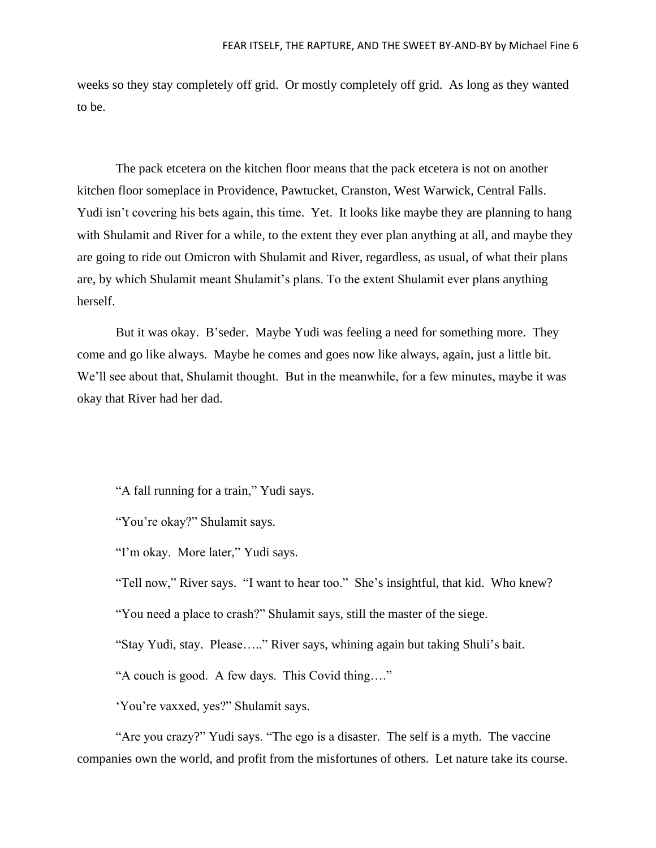weeks so they stay completely off grid. Or mostly completely off grid. As long as they wanted to be.

The pack etcetera on the kitchen floor means that the pack etcetera is not on another kitchen floor someplace in Providence, Pawtucket, Cranston, West Warwick, Central Falls. Yudi isn't covering his bets again, this time. Yet. It looks like maybe they are planning to hang with Shulamit and River for a while, to the extent they ever plan anything at all, and maybe they are going to ride out Omicron with Shulamit and River, regardless, as usual, of what their plans are, by which Shulamit meant Shulamit's plans. To the extent Shulamit ever plans anything herself.

But it was okay. B'seder. Maybe Yudi was feeling a need for something more. They come and go like always. Maybe he comes and goes now like always, again, just a little bit. We'll see about that, Shulamit thought. But in the meanwhile, for a few minutes, maybe it was okay that River had her dad.

"A fall running for a train," Yudi says.

"You're okay?" Shulamit says.

"I'm okay. More later," Yudi says.

"Tell now," River says. "I want to hear too." She's insightful, that kid. Who knew?

"You need a place to crash?" Shulamit says, still the master of the siege.

"Stay Yudi, stay. Please….." River says, whining again but taking Shuli's bait.

"A couch is good. A few days. This Covid thing…."

'You're vaxxed, yes?" Shulamit says.

"Are you crazy?" Yudi says. "The ego is a disaster. The self is a myth. The vaccine companies own the world, and profit from the misfortunes of others. Let nature take its course.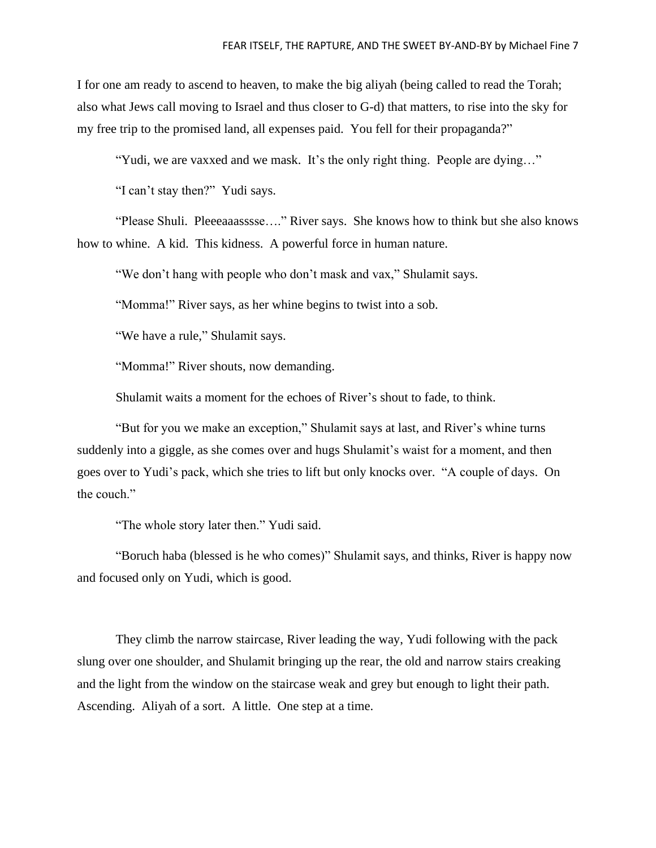I for one am ready to ascend to heaven, to make the big aliyah (being called to read the Torah; also what Jews call moving to Israel and thus closer to G-d) that matters, to rise into the sky for my free trip to the promised land, all expenses paid. You fell for their propaganda?"

"Yudi, we are vaxxed and we mask. It's the only right thing. People are dying…"

"I can't stay then?" Yudi says.

"Please Shuli. Pleeeaaasssse…." River says. She knows how to think but she also knows how to whine. A kid. This kidness. A powerful force in human nature.

"We don't hang with people who don't mask and vax," Shulamit says.

"Momma!" River says, as her whine begins to twist into a sob.

"We have a rule," Shulamit says.

"Momma!" River shouts, now demanding.

Shulamit waits a moment for the echoes of River's shout to fade, to think.

"But for you we make an exception," Shulamit says at last, and River's whine turns suddenly into a giggle, as she comes over and hugs Shulamit's waist for a moment, and then goes over to Yudi's pack, which she tries to lift but only knocks over. "A couple of days. On the couch."

"The whole story later then." Yudi said.

"Boruch haba (blessed is he who comes)" Shulamit says, and thinks, River is happy now and focused only on Yudi, which is good.

They climb the narrow staircase, River leading the way, Yudi following with the pack slung over one shoulder, and Shulamit bringing up the rear, the old and narrow stairs creaking and the light from the window on the staircase weak and grey but enough to light their path. Ascending. Aliyah of a sort. A little. One step at a time.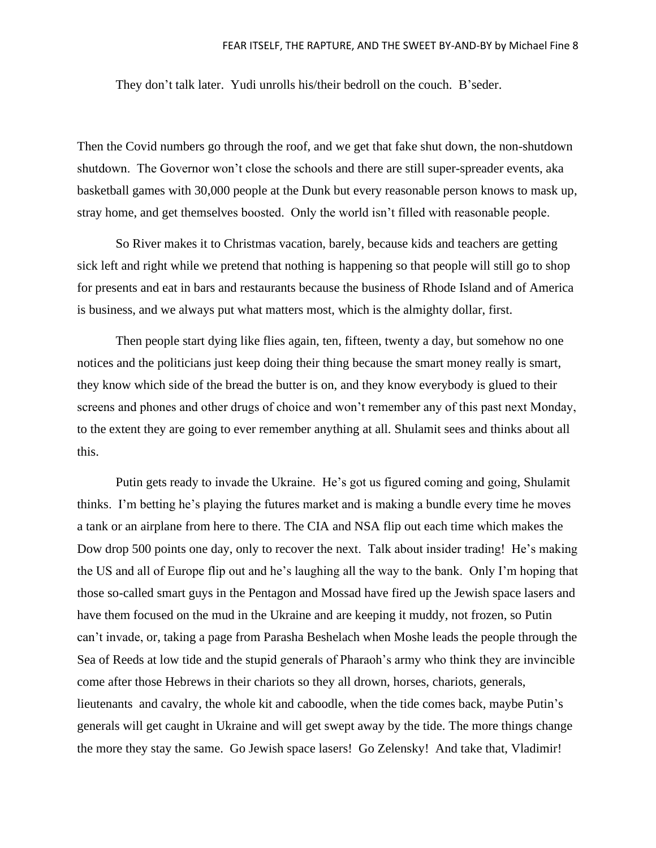They don't talk later. Yudi unrolls his/their bedroll on the couch. B'seder.

Then the Covid numbers go through the roof, and we get that fake shut down, the non-shutdown shutdown. The Governor won't close the schools and there are still super-spreader events, aka basketball games with 30,000 people at the Dunk but every reasonable person knows to mask up, stray home, and get themselves boosted. Only the world isn't filled with reasonable people.

So River makes it to Christmas vacation, barely, because kids and teachers are getting sick left and right while we pretend that nothing is happening so that people will still go to shop for presents and eat in bars and restaurants because the business of Rhode Island and of America is business, and we always put what matters most, which is the almighty dollar, first.

Then people start dying like flies again, ten, fifteen, twenty a day, but somehow no one notices and the politicians just keep doing their thing because the smart money really is smart, they know which side of the bread the butter is on, and they know everybody is glued to their screens and phones and other drugs of choice and won't remember any of this past next Monday, to the extent they are going to ever remember anything at all. Shulamit sees and thinks about all this.

Putin gets ready to invade the Ukraine. He's got us figured coming and going, Shulamit thinks. I'm betting he's playing the futures market and is making a bundle every time he moves a tank or an airplane from here to there. The CIA and NSA flip out each time which makes the Dow drop 500 points one day, only to recover the next. Talk about insider trading! He's making the US and all of Europe flip out and he's laughing all the way to the bank. Only I'm hoping that those so-called smart guys in the Pentagon and Mossad have fired up the Jewish space lasers and have them focused on the mud in the Ukraine and are keeping it muddy, not frozen, so Putin can't invade, or, taking a page from Parasha Beshelach when Moshe leads the people through the Sea of Reeds at low tide and the stupid generals of Pharaoh's army who think they are invincible come after those Hebrews in their chariots so they all drown, horses, chariots, generals, lieutenants and cavalry, the whole kit and caboodle, when the tide comes back, maybe Putin's generals will get caught in Ukraine and will get swept away by the tide. The more things change the more they stay the same. Go Jewish space lasers! Go Zelensky! And take that, Vladimir!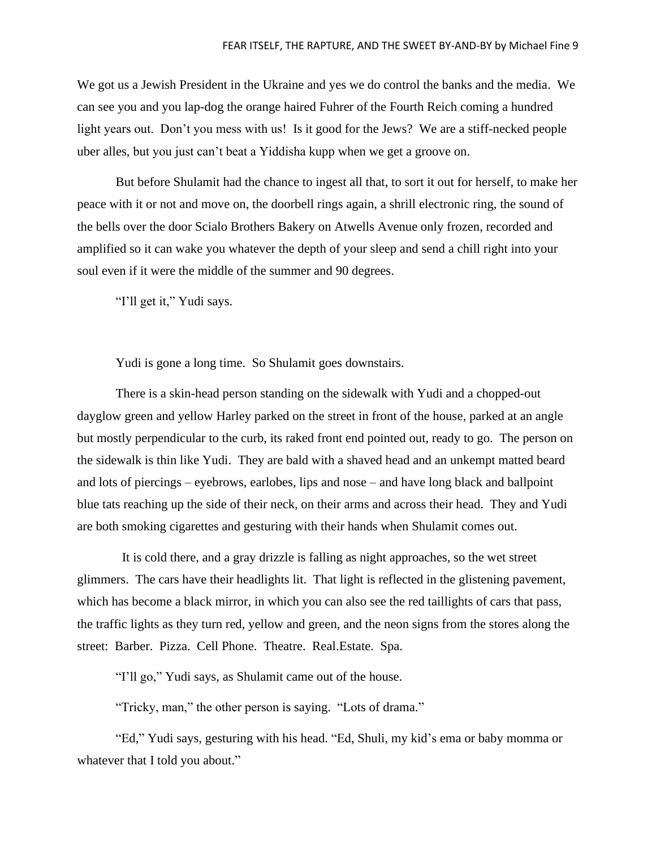We got us a Jewish President in the Ukraine and yes we do control the banks and the media. We can see you and you lap-dog the orange haired Fuhrer of the Fourth Reich coming a hundred light years out. Don't you mess with us! Is it good for the Jews? We are a stiff-necked people uber alles, but you just can't beat a Yiddisha kupp when we get a groove on.

But before Shulamit had the chance to ingest all that, to sort it out for herself, to make her peace with it or not and move on, the doorbell rings again, a shrill electronic ring, the sound of the bells over the door Scialo Brothers Bakery on Atwells Avenue only frozen, recorded and amplified so it can wake you whatever the depth of your sleep and send a chill right into your soul even if it were the middle of the summer and 90 degrees.

"I'll get it," Yudi says.

Yudi is gone a long time. So Shulamit goes downstairs.

There is a skin-head person standing on the sidewalk with Yudi and a chopped-out dayglow green and yellow Harley parked on the street in front of the house, parked at an angle but mostly perpendicular to the curb, its raked front end pointed out, ready to go. The person on the sidewalk is thin like Yudi. They are bald with a shaved head and an unkempt matted beard and lots of piercings – eyebrows, earlobes, lips and nose – and have long black and ballpoint blue tats reaching up the side of their neck, on their arms and across their head. They and Yudi are both smoking cigarettes and gesturing with their hands when Shulamit comes out.

 It is cold there, and a gray drizzle is falling as night approaches, so the wet street glimmers. The cars have their headlights lit. That light is reflected in the glistening pavement, which has become a black mirror, in which you can also see the red taillights of cars that pass, the traffic lights as they turn red, yellow and green, and the neon signs from the stores along the street: Barber. Pizza. Cell Phone. Theatre. Real.Estate. Spa.

"I'll go," Yudi says, as Shulamit came out of the house.

"Tricky, man," the other person is saying. "Lots of drama."

"Ed," Yudi says, gesturing with his head. "Ed, Shuli, my kid's ema or baby momma or whatever that I told you about."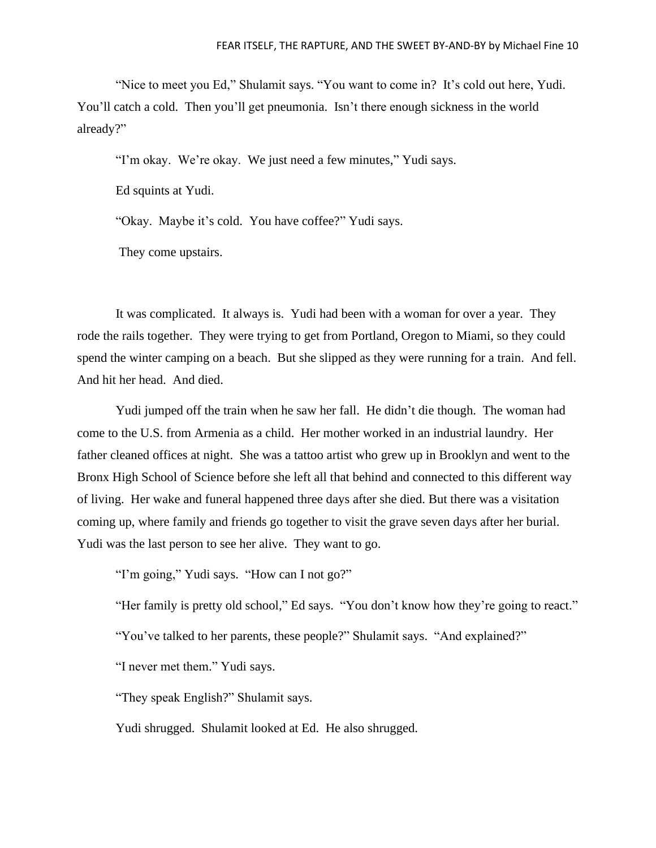"Nice to meet you Ed," Shulamit says. "You want to come in? It's cold out here, Yudi. You'll catch a cold. Then you'll get pneumonia. Isn't there enough sickness in the world already?"

"I'm okay. We're okay. We just need a few minutes," Yudi says.

Ed squints at Yudi.

"Okay. Maybe it's cold. You have coffee?" Yudi says.

They come upstairs.

It was complicated. It always is. Yudi had been with a woman for over a year. They rode the rails together. They were trying to get from Portland, Oregon to Miami, so they could spend the winter camping on a beach. But she slipped as they were running for a train. And fell. And hit her head. And died.

Yudi jumped off the train when he saw her fall. He didn't die though. The woman had come to the U.S. from Armenia as a child. Her mother worked in an industrial laundry. Her father cleaned offices at night. She was a tattoo artist who grew up in Brooklyn and went to the Bronx High School of Science before she left all that behind and connected to this different way of living. Her wake and funeral happened three days after she died. But there was a visitation coming up, where family and friends go together to visit the grave seven days after her burial. Yudi was the last person to see her alive. They want to go.

"I'm going," Yudi says. "How can I not go?"

"Her family is pretty old school," Ed says. "You don't know how they're going to react."

"You've talked to her parents, these people?" Shulamit says. "And explained?"

"I never met them." Yudi says.

"They speak English?" Shulamit says.

Yudi shrugged. Shulamit looked at Ed. He also shrugged.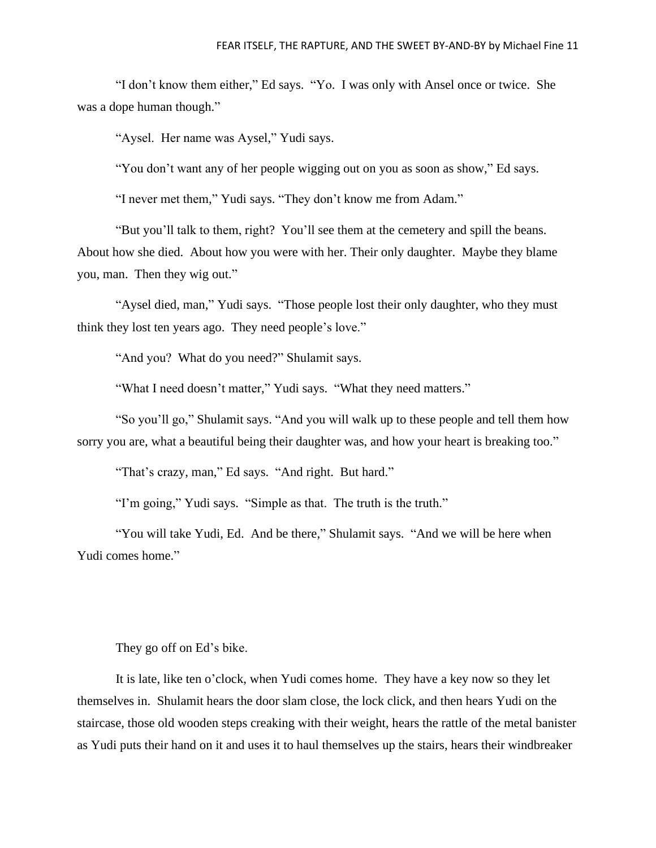"I don't know them either," Ed says. "Yo. I was only with Ansel once or twice. She was a dope human though."

"Aysel. Her name was Aysel," Yudi says.

"You don't want any of her people wigging out on you as soon as show," Ed says.

"I never met them," Yudi says. "They don't know me from Adam."

"But you'll talk to them, right? You'll see them at the cemetery and spill the beans. About how she died. About how you were with her. Their only daughter. Maybe they blame you, man. Then they wig out."

"Aysel died, man," Yudi says. "Those people lost their only daughter, who they must think they lost ten years ago. They need people's love."

"And you? What do you need?" Shulamit says.

"What I need doesn't matter," Yudi says. "What they need matters."

"So you'll go," Shulamit says. "And you will walk up to these people and tell them how sorry you are, what a beautiful being their daughter was, and how your heart is breaking too."

"That's crazy, man," Ed says. "And right. But hard."

"I'm going," Yudi says. "Simple as that. The truth is the truth."

"You will take Yudi, Ed. And be there," Shulamit says. "And we will be here when Yudi comes home."

## They go off on Ed's bike.

It is late, like ten o'clock, when Yudi comes home. They have a key now so they let themselves in. Shulamit hears the door slam close, the lock click, and then hears Yudi on the staircase, those old wooden steps creaking with their weight, hears the rattle of the metal banister as Yudi puts their hand on it and uses it to haul themselves up the stairs, hears their windbreaker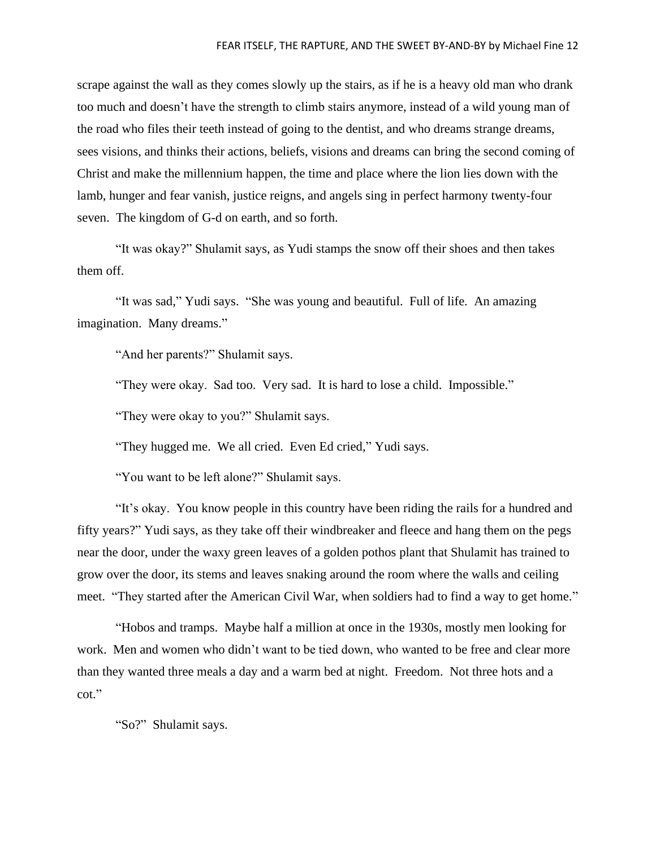scrape against the wall as they comes slowly up the stairs, as if he is a heavy old man who drank too much and doesn't have the strength to climb stairs anymore, instead of a wild young man of the road who files their teeth instead of going to the dentist, and who dreams strange dreams, sees visions, and thinks their actions, beliefs, visions and dreams can bring the second coming of Christ and make the millennium happen, the time and place where the lion lies down with the lamb, hunger and fear vanish, justice reigns, and angels sing in perfect harmony twenty-four seven. The kingdom of G-d on earth, and so forth.

"It was okay?" Shulamit says, as Yudi stamps the snow off their shoes and then takes them off.

"It was sad," Yudi says. "She was young and beautiful. Full of life. An amazing imagination. Many dreams."

"And her parents?" Shulamit says.

"They were okay. Sad too. Very sad. It is hard to lose a child. Impossible."

"They were okay to you?" Shulamit says.

"They hugged me. We all cried. Even Ed cried," Yudi says.

"You want to be left alone?" Shulamit says.

"It's okay. You know people in this country have been riding the rails for a hundred and fifty years?" Yudi says, as they take off their windbreaker and fleece and hang them on the pegs near the door, under the waxy green leaves of a golden pothos plant that Shulamit has trained to grow over the door, its stems and leaves snaking around the room where the walls and ceiling meet. "They started after the American Civil War, when soldiers had to find a way to get home."

"Hobos and tramps. Maybe half a million at once in the 1930s, mostly men looking for work. Men and women who didn't want to be tied down, who wanted to be free and clear more than they wanted three meals a day and a warm bed at night. Freedom. Not three hots and a cot."

"So?" Shulamit says.